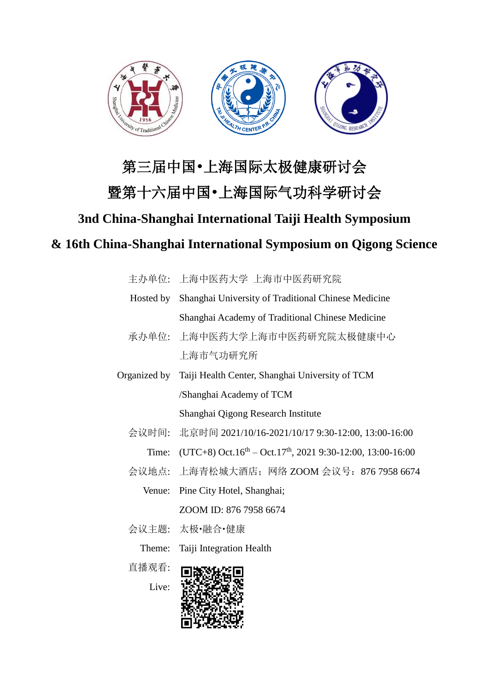

# 第三届中国•上海国际太极健康研讨会

## 暨第十六届中国•上海国际气功科学研讨会

### **3nd China-Shanghai International Taiji Health Symposium**

### **& 16th China-Shanghai International Symposium on Qigong Science**

|           | 主办单位: 上海中医药大学 上海市中医药研究院                                            |
|-----------|--------------------------------------------------------------------|
| Hosted by | Shanghai University of Traditional Chinese Medicine                |
|           | Shanghai Academy of Traditional Chinese Medicine                   |
|           | 承办单位: 上海中医药大学上海市中医药研究院太极健康中心                                       |
|           | 上海市气功研究所                                                           |
|           | Organized by Taiji Health Center, Shanghai University of TCM       |
|           | /Shanghai Academy of TCM                                           |
|           | Shanghai Qigong Research Institute                                 |
| 会议时间:     | 北京时间 2021/10/16-2021/10/17 9:30-12:00, 13:00-16:00                 |
|           | Time: $(UTC+8) Oct.16th – Oct.17th, 2021 9:30-12:00, 13:00-16:00)$ |
|           | 会议地点: 上海青松城大酒店; 网络 ZOOM 会议号: 876 7958 6674                         |
| Venue:    | Pine City Hotel, Shanghai;                                         |
|           | ZOOM ID: 876 7958 6674                                             |
|           | 会议主题: 太极•融合•健康                                                     |
| Theme:    | Taiji Integration Health                                           |
| 直播观看:     |                                                                    |
|           |                                                                    |

Live:

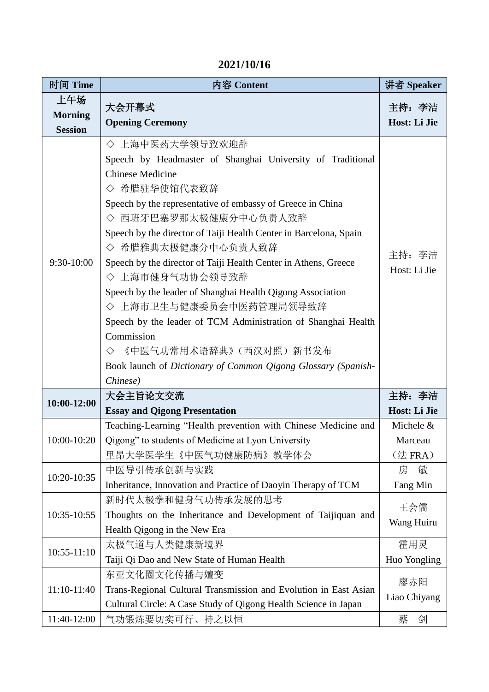| 2021/10/16 |  |  |
|------------|--|--|
|            |  |  |

| 时间 Time                                 | 内容 Content                                                                                                                                                                                                                                                                                                                                                                                                                                                                                                                                                                                                                                                                             | 讲者 Speaker                      |
|-----------------------------------------|----------------------------------------------------------------------------------------------------------------------------------------------------------------------------------------------------------------------------------------------------------------------------------------------------------------------------------------------------------------------------------------------------------------------------------------------------------------------------------------------------------------------------------------------------------------------------------------------------------------------------------------------------------------------------------------|---------------------------------|
| 上午场<br><b>Morning</b><br><b>Session</b> | 大会开幕式<br><b>Opening Ceremony</b>                                                                                                                                                                                                                                                                                                                                                                                                                                                                                                                                                                                                                                                       | 主持: 李洁<br>Host: Li Jie          |
| 9:30-10:00                              | ◇ 上海中医药大学领导致欢迎辞<br>Speech by Headmaster of Shanghai University of Traditional<br><b>Chinese Medicine</b><br>◇ 希腊驻华使馆代表致辞<br>Speech by the representative of embassy of Greece in China<br>◇ 西班牙巴塞罗那太极健康分中心负责人致辞<br>Speech by the director of Taiji Health Center in Barcelona, Spain<br>◇ 希腊雅典太极健康分中心负责人致辞<br>Speech by the director of Taiji Health Center in Athens, Greece<br>◇ 上海市健身气功协会领导致辞<br>Speech by the leader of Shanghai Health Qigong Association<br>◇ 上海市卫生与健康委员会中医药管理局领导致辞<br>Speech by the leader of TCM Administration of Shanghai Health<br>Commission<br>《中医气功常用术语辞典》 (西汉对照) 新书发布<br>♦<br>Book launch of Dictionary of Common Qigong Glossary (Spanish-<br>Chinese) | 主持: 李洁<br>Host: Li Jie          |
| 10:00-12:00                             | 大会主旨论文交流<br><b>Essay and Qigong Presentation</b>                                                                                                                                                                                                                                                                                                                                                                                                                                                                                                                                                                                                                                       | 主持: 李洁<br>Host: Li Jie          |
| $10:00-10:20$                           | Teaching-Learning "Health prevention with Chinese Medicine and<br>Qigong" to students of Medicine at Lyon University<br>里昂大学医学生《中医气功健康防病》教学体会                                                                                                                                                                                                                                                                                                                                                                                                                                                                                                                                          | Michele &<br>Marceau<br>(法 FRA) |
| 10:20-10:35                             | 中医导引传承创新与实践<br>Inheritance, Innovation and Practice of Daoyin Therapy of TCM                                                                                                                                                                                                                                                                                                                                                                                                                                                                                                                                                                                                           | 敏<br>房<br>Fang Min              |
| 10:35-10:55                             | 新时代太极拳和健身气功传承发展的思考<br>Thoughts on the Inheritance and Development of Taijiquan and<br>Health Qigong in the New Era                                                                                                                                                                                                                                                                                                                                                                                                                                                                                                                                                                     | 王会儒<br>Wang Huiru               |
| $10:55 - 11:10$                         | 太极气道与人类健康新境界<br>Taiji Qi Dao and New State of Human Health                                                                                                                                                                                                                                                                                                                                                                                                                                                                                                                                                                                                                             | 霍用灵<br>Huo Yongling             |
| 11:10-11:40                             | 东亚文化圈文化传播与嬗变<br>Trans-Regional Cultural Transmission and Evolution in East Asian<br>Cultural Circle: A Case Study of Qigong Health Science in Japan                                                                                                                                                                                                                                                                                                                                                                                                                                                                                                                                    | 廖赤阳<br>Liao Chiyang             |
| 11:40-12:00                             | 气功锻炼要切实可行、持之以恒                                                                                                                                                                                                                                                                                                                                                                                                                                                                                                                                                                                                                                                                         | 蔡<br>剑                          |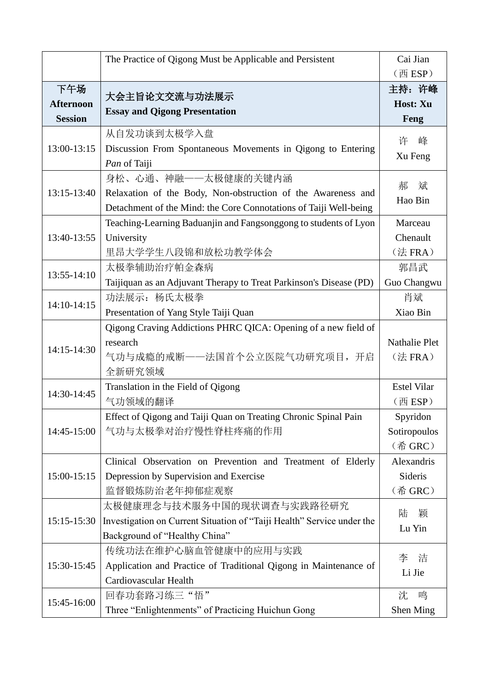|                  | The Practice of Qigong Must be Applicable and Persistent               | Cai Jian                      |
|------------------|------------------------------------------------------------------------|-------------------------------|
|                  |                                                                        | (西 ESP)                       |
| 下午场              |                                                                        | 主持: 许峰                        |
| <b>Afternoon</b> | 大会主旨论文交流与功法展示                                                          | Host: Xu                      |
| <b>Session</b>   | <b>Essay and Qigong Presentation</b>                                   | Feng                          |
|                  | 从自发功谈到太极学入盘                                                            | 许<br>峰                        |
| 13:00-13:15      | Discussion From Spontaneous Movements in Qigong to Entering            |                               |
|                  | Pan of Taiji                                                           | Xu Feng                       |
|                  | 身松、心通、神融——太极健康的关键内涵                                                    | 郝<br>斌                        |
| 13:15-13:40      | Relaxation of the Body, Non-obstruction of the Awareness and           | Hao Bin                       |
|                  | Detachment of the Mind: the Core Connotations of Taiji Well-being      |                               |
|                  | Teaching-Learning Baduanjin and Fangsonggong to students of Lyon       | Marceau                       |
| 13:40-13:55      | University                                                             | Chenault                      |
|                  | 里昂大学学生八段锦和放松功教学体会                                                      | (法 FRA)                       |
| 13:55-14:10      | 太极拳辅助治疗帕金森病                                                            | 郭昌武                           |
|                  | Taijiquan as an Adjuvant Therapy to Treat Parkinson's Disease (PD)     | Guo Changwu                   |
| 14:10-14:15      | 功法展示: 杨氏太极拳                                                            | 肖斌                            |
|                  | Presentation of Yang Style Taiji Quan                                  | Xiao Bin                      |
|                  | Qigong Craving Addictions PHRC QICA: Opening of a new field of         |                               |
| 14:15-14:30      | research                                                               | Nathalie Plet                 |
|                  | 气功与成瘾的戒断——法国首个公立医院气功研究项目, 开启                                           | $($ 法 FRA $)$                 |
|                  | 全新研究领域                                                                 |                               |
| 14:30-14:45      | Translation in the Field of Qigong                                     | <b>Estel Vilar</b>            |
|                  | 气功领域的翻译                                                                | $(\overline{\mathbb{H}}$ ESP) |
|                  | Effect of Qigong and Taiji Quan on Treating Chronic Spinal Pain        | Spyridon                      |
| 14:45-15:00      | 气功与太极拳对治疗慢性脊柱疼痛的作用                                                     | Sotiropoulos                  |
|                  |                                                                        | (希 GRC)                       |
|                  | Clinical Observation on Prevention and Treatment of Elderly            | Alexandris                    |
| 15:00-15:15      | Depression by Supervision and Exercise                                 | Sideris                       |
|                  | 监督锻炼防治老年抑郁症观察                                                          | (希 GRC)                       |
|                  | 太极健康理念与技术服务中国的现状调查与实践路径研究                                              | 陆<br>颖                        |
| 15:15-15:30      | Investigation on Current Situation of "Taiji Health" Service under the | Lu Yin                        |
|                  | Background of "Healthy China"                                          |                               |
|                  | 传统功法在维护心脑血管健康中的应用与实践                                                   | 李<br>洁                        |
| 15:30-15:45      | Application and Practice of Traditional Qigong in Maintenance of       | Li Jie                        |
|                  | Cardiovascular Health                                                  |                               |
| 15:45-16:00      | 回春功套路习练三"悟"                                                            | 鸣<br>沈                        |
|                  | Three "Enlightenments" of Practicing Huichun Gong                      | Shen Ming                     |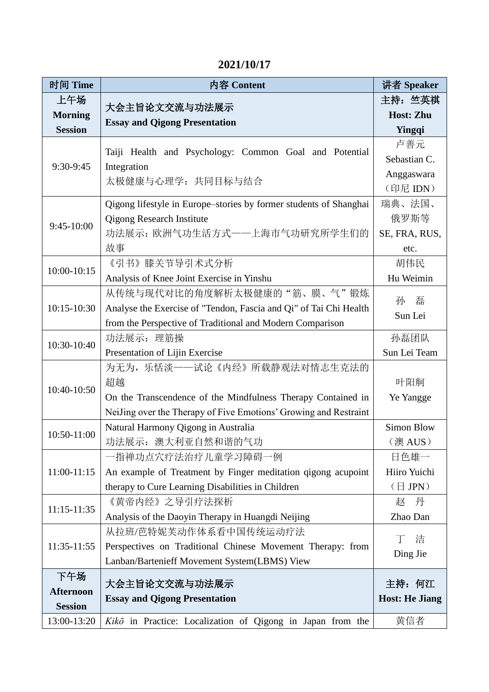#### **2021/10/17**

| 时间 Time          | 内容 Content                                                         | 讲者 Speaker                              |
|------------------|--------------------------------------------------------------------|-----------------------------------------|
| 上午场              | 大会主旨论文交流与功法展示                                                      | 主持: 竺英祺                                 |
| <b>Morning</b>   | <b>Essay and Qigong Presentation</b>                               | <b>Host: Zhu</b>                        |
| <b>Session</b>   |                                                                    | Yingqi                                  |
|                  | Taiji Health and Psychology: Common Goal and Potential             | 卢善元                                     |
| 9:30-9:45        | Integration                                                        | Sebastian C.                            |
|                  | 太极健康与心理学: 共同目标与结合                                                  | Anggaswara                              |
|                  |                                                                    | (印尼 IDN)                                |
|                  | Qigong lifestyle in Europe–stories by former students of Shanghai  | 瑞典、法国、                                  |
| 9:45-10:00       | <b>Qigong Research Institute</b>                                   | 俄罗斯等                                    |
|                  | 功法展示: 欧洲气功生活方式——上海市气功研究所学生们的                                       | SE, FRA, RUS,                           |
|                  | 故事                                                                 | etc.                                    |
| 10:00-10:15      | 《引书》膝关节导引术式分析                                                      | 胡伟民                                     |
|                  | Analysis of Knee Joint Exercise in Yinshu                          | Hu Weimin                               |
|                  | 从传统与现代对比的角度解析太极健康的"筋、膜、气"锻炼                                        | 磊<br>孙                                  |
| 10:15-10:30      | Analyse the Exercise of "Tendon, Fascia and Qi" of Tai Chi Health  | Sun Lei                                 |
|                  | from the Perspective of Traditional and Modern Comparison          |                                         |
| 10:30-10:40      | 功法展示: 理筋操                                                          | 孙磊团队                                    |
|                  | Presentation of Lijin Exercise                                     | Sun Lei Team                            |
|                  | 为无为,乐恬淡——试论《内经》所载静观法对情志生克法的                                        |                                         |
| 10:40-10:50      | 超越                                                                 | 叶阳舸                                     |
|                  | On the Transcendence of the Mindfulness Therapy Contained in       | Ye Yangge                               |
|                  | NeiJing over the Therapy of Five Emotions' Growing and Restraint   |                                         |
| 10:50-11:00      | Natural Harmony Qigong in Australia                                | <b>Simon Blow</b>                       |
|                  | 功法展示: 澳大利亚自然和谐的气功                                                  | (澳 AUS)                                 |
|                  | 一指禅功点穴疗法治疗儿童学习障碍一例                                                 | 日色雄一                                    |
| 11:00-11:15      | An example of Treatment by Finger meditation qigong acupoint       | Hiiro Yuichi<br>$(\exists \text{ JPN})$ |
|                  | therapy to Cure Learning Disabilities in Children<br>《黄帝内经》之导引疗法探析 | 丹<br>赵                                  |
| $11:15 - 11:35$  | Analysis of the Daoyin Therapy in Huangdi Neijing                  | Zhao Dan                                |
|                  | 从拉班/芭特妮芙动作体系看中国传统运动疗法                                              |                                         |
| 11:35-11:55      | Perspectives on Traditional Chinese Movement Therapy: from         | 洁<br>T                                  |
|                  | Lanban/Bartenieff Movement System(LBMS) View                       | Ding Jie                                |
| 下午场              |                                                                    |                                         |
| <b>Afternoon</b> | 大会主旨论文交流与功法展示                                                      | 主持: 何江                                  |
| <b>Session</b>   | <b>Essay and Qigong Presentation</b>                               | <b>Host: He Jiang</b>                   |
| 13:00-13:20      | Kikō in Practice: Localization of Qigong in Japan from the         | 黄信者                                     |